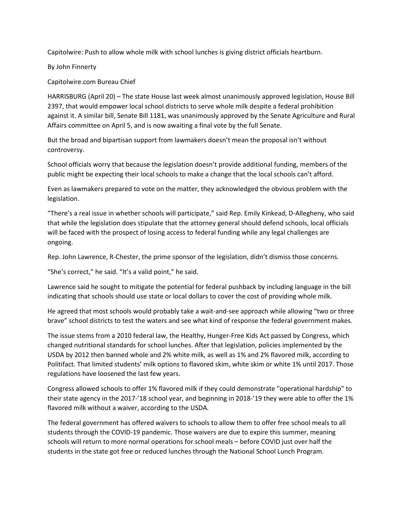Capitolwire: Push to allow whole milk with school lunches is giving district officials heartburn.

By John Finnerty

Capitolwire.com Bureau Chief

HARRISBURG (April 20) – The state House last week almost unanimously approved legislation, House Bill 2397, that would empower local school districts to serve whole milk despite a federal prohibition against it. A similar bill, Senate Bill 1181, was unanimously approved by the Senate Agriculture and Rural Affairs committee on April 5, and is now awaiting a final vote by the full Senate.

But the broad and bipartisan support from lawmakers doesn't mean the proposal isn't without controversy.

School officials worry that because the legislation doesn't provide additional funding, members of the public might be expecting their local schools to make a change that the local schools can't afford.

Even as lawmakers prepared to vote on the matter, they acknowledged the obvious problem with the legislation.

"There's a real issue in whether schools will participate," said Rep. Emily Kinkead, D-Allegheny, who said that while the legislation does stipulate that the attorney general should defend schools, local officials will be faced with the prospect of losing access to federal funding while any legal challenges are ongoing.

Rep. John Lawrence, R-Chester, the prime sponsor of the legislation, didn't dismiss those concerns.

"She's correct," he said. "It's a valid point," he said.

Lawrence said he sought to mitigate the potential for federal pushback by including language in the bill indicating that schools should use state or local dollars to cover the cost of providing whole milk.

He agreed that most schools would probably take a wait-and-see approach while allowing "two or three brave" school districts to test the waters and see what kind of response the federal government makes.

The issue stems from a 2010 federal law, the Healthy, Hunger-Free Kids Act passed by Congress, which changed nutritional standards for school lunches. After that legislation, policies implemented by the USDA by 2012 then banned whole and 2% white milk, as well as 1% and 2% flavored milk, according to Politifact. That limited students' milk options to flavored skim, white skim or white 1% until 2017. Those regulations have loosened the last few years.

Congress allowed schools to offer 1% flavored milk if they could demonstrate "operational hardship" to their state agency in the 2017-'18 school year, and beginning in 2018-'19 they were able to offer the 1% flavored milk without a waiver, according to the USDA.

The federal government has offered waivers to schools to allow them to offer free school meals to all students through the COVID-19 pandemic. Those waivers are due to expire this summer, meaning schools will return to more normal operations for school meals – before COVID just over half the students in the state got free or reduced lunches through the National School Lunch Program.